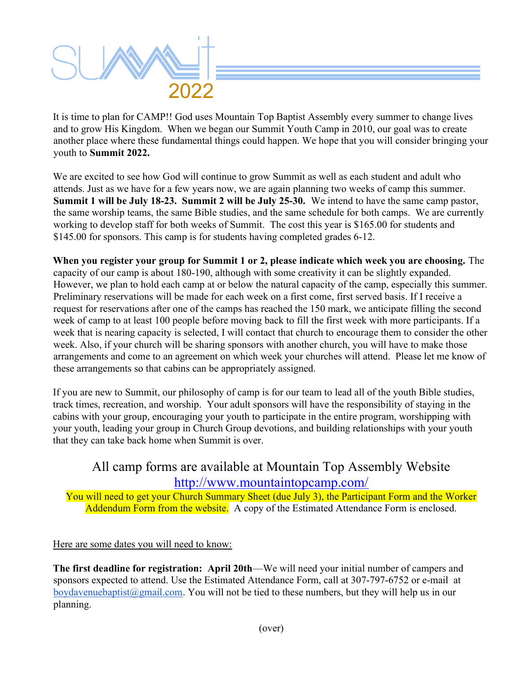

It is time to plan for CAMP!! God uses Mountain Top Baptist Assembly every summer to change lives and to grow His Kingdom. When we began our Summit Youth Camp in 2010, our goal was to create another place where these fundamental things could happen. We hope that you will consider bringing your youth to Summit 2022.

We are excited to see how God will continue to grow Summit as well as each student and adult who attends. Just as we have for a few years now, we are again planning two weeks of camp this summer. Summit 1 will be July 18-23. Summit 2 will be July 25-30. We intend to have the same camp pastor, the same worship teams, the same Bible studies, and the same schedule for both camps. We are currently working to develop staff for both weeks of Summit. The cost this year is \$165.00 for students and \$145.00 for sponsors. This camp is for students having completed grades 6-12.

When you register your group for Summit 1 or 2, please indicate which week you are choosing. The capacity of our camp is about 180-190, although with some creativity it can be slightly expanded. However, we plan to hold each camp at or below the natural capacity of the camp, especially this summer. Preliminary reservations will be made for each week on a first come, first served basis. If I receive a request for reservations after one of the camps has reached the 150 mark, we anticipate filling the second week of camp to at least 100 people before moving back to fill the first week with more participants. If a week that is nearing capacity is selected, I will contact that church to encourage them to consider the other week. Also, if your church will be sharing sponsors with another church, you will have to make those arrangements and come to an agreement on which week your churches will attend. Please let me know of these arrangements so that cabins can be appropriately assigned.

If you are new to Summit, our philosophy of camp is for our team to lead all of the youth Bible studies, track times, recreation, and worship. Your adult sponsors will have the responsibility of staying in the cabins with your group, encouraging your youth to participate in the entire program, worshipping with your youth, leading your group in Church Group devotions, and building relationships with your youth that they can take back home when Summit is over.

### All camp forms are available at Mountain Top Assembly Website http://www.mountaintopcamp.com/

You will need to get your Church Summary Sheet (due July 3), the Participant Form and the Worker Addendum Form from the website. A copy of the Estimated Attendance Form is enclosed.

Here are some dates you will need to know:

The first deadline for registration: April 20th—We will need your initial number of campers and sponsors expected to attend. Use the Estimated Attendance Form, call at 307-797-6752 or e-mail at boydavenuebaptist@gmail.com. You will not be tied to these numbers, but they will help us in our planning.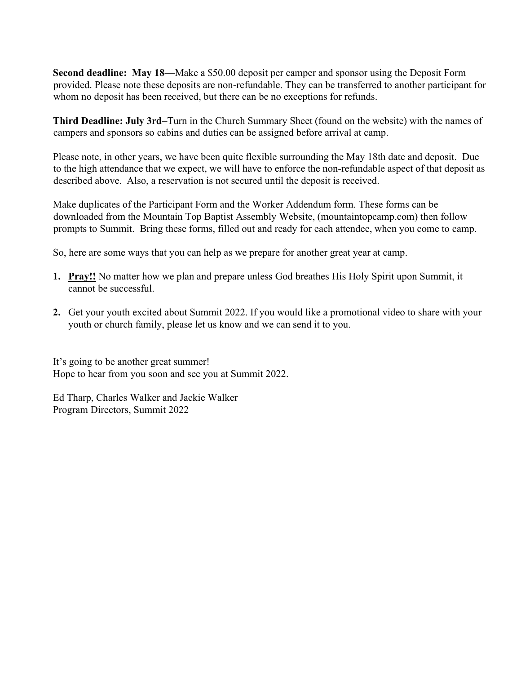Second deadline: May 18—Make a \$50.00 deposit per camper and sponsor using the Deposit Form provided. Please note these deposits are non-refundable. They can be transferred to another participant for whom no deposit has been received, but there can be no exceptions for refunds.

Third Deadline: July 3rd–Turn in the Church Summary Sheet (found on the website) with the names of campers and sponsors so cabins and duties can be assigned before arrival at camp.

Please note, in other years, we have been quite flexible surrounding the May 18th date and deposit. Due to the high attendance that we expect, we will have to enforce the non-refundable aspect of that deposit as described above. Also, a reservation is not secured until the deposit is received.

Make duplicates of the Participant Form and the Worker Addendum form. These forms can be downloaded from the Mountain Top Baptist Assembly Website, (mountaintopcamp.com) then follow prompts to Summit. Bring these forms, filled out and ready for each attendee, when you come to camp.

So, here are some ways that you can help as we prepare for another great year at camp.

- 1. Pray!! No matter how we plan and prepare unless God breathes His Holy Spirit upon Summit, it cannot be successful.
- 2. Get your youth excited about Summit 2022. If you would like a promotional video to share with your youth or church family, please let us know and we can send it to you.

It's going to be another great summer! Hope to hear from you soon and see you at Summit 2022.

Ed Tharp, Charles Walker and Jackie Walker Program Directors, Summit 2022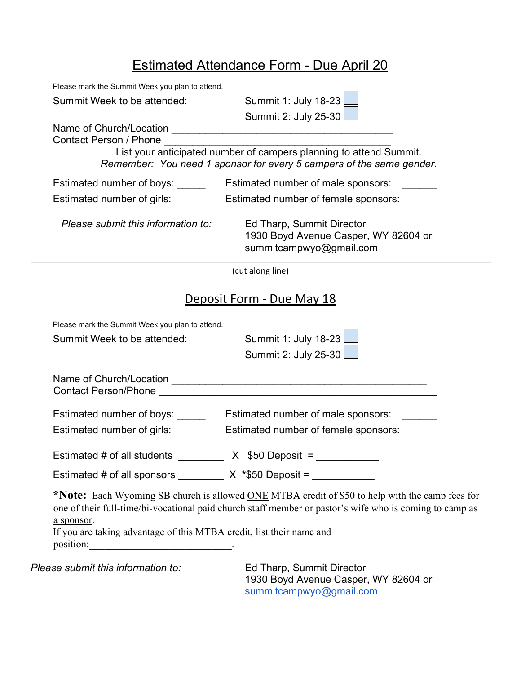## Estimated Attendance Form - Due April 20

| Please mark the Summit Week you plan to attend.                                    |                                                                                                                                                                                                            |
|------------------------------------------------------------------------------------|------------------------------------------------------------------------------------------------------------------------------------------------------------------------------------------------------------|
| Summit Week to be attended:                                                        | Summit 1: July 18-23                                                                                                                                                                                       |
|                                                                                    | Summit 2: July 25-30                                                                                                                                                                                       |
|                                                                                    |                                                                                                                                                                                                            |
| Contact Person / Phone                                                             | List your anticipated number of campers planning to attend Summit.                                                                                                                                         |
|                                                                                    | Remember: You need 1 sponsor for every 5 campers of the same gender.                                                                                                                                       |
| Estimated number of boys: _____                                                    | Estimated number of male sponsors:                                                                                                                                                                         |
| Estimated number of girls: _____                                                   | Estimated number of female sponsors:                                                                                                                                                                       |
| Please submit this information to:                                                 | Ed Tharp, Summit Director<br>1930 Boyd Avenue Casper, WY 82604 or<br>summitcampwyo@gmail.com                                                                                                               |
|                                                                                    | (cut along line)                                                                                                                                                                                           |
|                                                                                    | Deposit Form - Due May 18                                                                                                                                                                                  |
| Please mark the Summit Week you plan to attend.                                    |                                                                                                                                                                                                            |
| Summit Week to be attended:                                                        | Summit 1: July 18-23                                                                                                                                                                                       |
|                                                                                    | Summit 2: July 25-30                                                                                                                                                                                       |
|                                                                                    |                                                                                                                                                                                                            |
|                                                                                    |                                                                                                                                                                                                            |
|                                                                                    |                                                                                                                                                                                                            |
| Estimated number of girls:                                                         | Estimated number of female sponsors:                                                                                                                                                                       |
| Estimated # of all students $\frac{1}{2}$ X \$50 Deposit =                         |                                                                                                                                                                                                            |
| Estimated # of all sponsors _________ X *\$50 Deposit = ___________                |                                                                                                                                                                                                            |
| a sponsor.<br>If you are taking advantage of this MTBA credit, list their name and | *Note: Each Wyoming SB church is allowed ONE MTBA credit of \$50 to help with the camp fees for<br>one of their full-time/bi-vocational paid church staff member or pastor's wife who is coming to camp as |
| Please submit this information to:                                                 | Ed Tharp, Summit Director                                                                                                                                                                                  |

1930 Boyd Avenue Casper, WY 82604 or summitcampwyo@gmail.com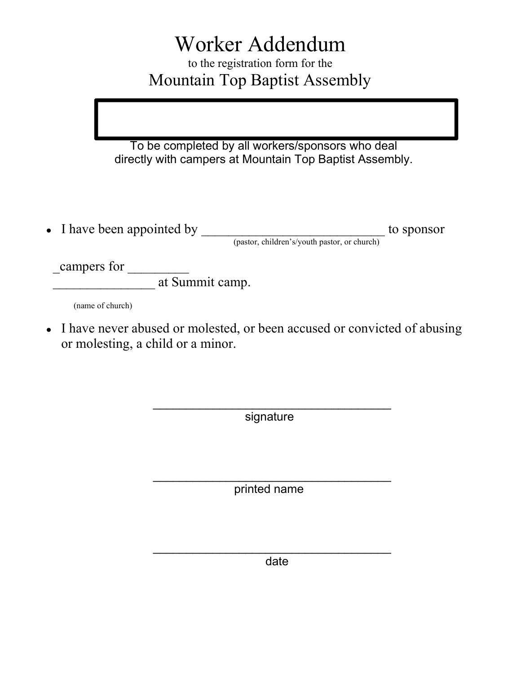# Worker Addendum

to the registration form for the Mountain Top Baptist Assembly

To be completed by all workers/sponsors who deal directly with campers at Mountain Top Baptist Assembly.

● I have been appointed by \_\_\_\_\_\_\_\_\_\_\_\_\_\_\_\_\_\_\_\_\_\_\_\_\_\_\_ to sponsor (pastor, children's/youth pastor, or church)

campers for

If  $\frac{1}{\text{at } \text{Summit } \text{camp.}}$ 

(name of church)

• I have never abused or molested, or been accused or convicted of abusing or molesting, a child or a minor.

signature

 $\overline{\phantom{a}}$  ,  $\overline{\phantom{a}}$  ,  $\overline{\phantom{a}}$  ,  $\overline{\phantom{a}}$  ,  $\overline{\phantom{a}}$  ,  $\overline{\phantom{a}}$  ,  $\overline{\phantom{a}}$  ,  $\overline{\phantom{a}}$  ,  $\overline{\phantom{a}}$  ,  $\overline{\phantom{a}}$  ,  $\overline{\phantom{a}}$  ,  $\overline{\phantom{a}}$  ,  $\overline{\phantom{a}}$  ,  $\overline{\phantom{a}}$  ,  $\overline{\phantom{a}}$  ,  $\overline{\phantom{a}}$ 

printed name

 $\overline{\phantom{a}}$  ,  $\overline{\phantom{a}}$  ,  $\overline{\phantom{a}}$  ,  $\overline{\phantom{a}}$  ,  $\overline{\phantom{a}}$  ,  $\overline{\phantom{a}}$  ,  $\overline{\phantom{a}}$  ,  $\overline{\phantom{a}}$  ,  $\overline{\phantom{a}}$  ,  $\overline{\phantom{a}}$  ,  $\overline{\phantom{a}}$  ,  $\overline{\phantom{a}}$  ,  $\overline{\phantom{a}}$  ,  $\overline{\phantom{a}}$  ,  $\overline{\phantom{a}}$  ,  $\overline{\phantom{a}}$ 

 $\overline{\phantom{a}}$  ,  $\overline{\phantom{a}}$  ,  $\overline{\phantom{a}}$  ,  $\overline{\phantom{a}}$  ,  $\overline{\phantom{a}}$  ,  $\overline{\phantom{a}}$  ,  $\overline{\phantom{a}}$  ,  $\overline{\phantom{a}}$  ,  $\overline{\phantom{a}}$  ,  $\overline{\phantom{a}}$  ,  $\overline{\phantom{a}}$  ,  $\overline{\phantom{a}}$  ,  $\overline{\phantom{a}}$  ,  $\overline{\phantom{a}}$  ,  $\overline{\phantom{a}}$  ,  $\overline{\phantom{a}}$ date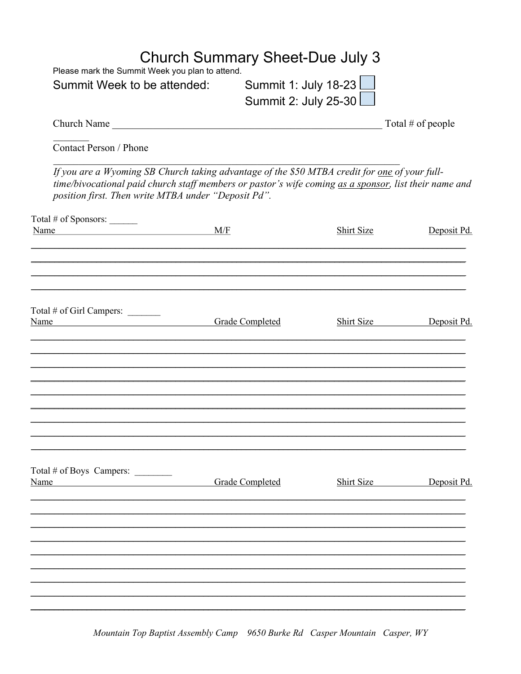| <b>Church Summary Sheet-Due July 3</b><br>Please mark the Summit Week you plan to attend. |     |                        |                                                                                                                                                                                                        |                        |
|-------------------------------------------------------------------------------------------|-----|------------------------|--------------------------------------------------------------------------------------------------------------------------------------------------------------------------------------------------------|------------------------|
| Summit Week to be attended:                                                               |     |                        | Summit 1: July 18-23<br>Summit 2: July 25-30                                                                                                                                                           |                        |
|                                                                                           |     |                        |                                                                                                                                                                                                        |                        |
| Contact Person / Phone                                                                    |     |                        |                                                                                                                                                                                                        |                        |
| position first. Then write MTBA under "Deposit Pd".                                       |     |                        | If you are a Wyoming SB Church taking advantage of the \$50 MTBA credit for one of your full-<br>time/bivocational paid church staff members or pastor's wife coming as a sponsor, list their name and |                        |
| Total # of Sponsors: ______                                                               |     |                        |                                                                                                                                                                                                        |                        |
| Name                                                                                      | M/F |                        | Shirt Size                                                                                                                                                                                             | Deposit Pd.            |
| Total # of Girl Campers: ______<br>Name Grade Completed                                   |     |                        |                                                                                                                                                                                                        | Shirt Size Deposit Pd. |
| Total # of Boys Campers:<br>Name                                                          |     | <b>Grade Completed</b> | Shirt Size                                                                                                                                                                                             | Deposit Pd.            |
|                                                                                           |     |                        |                                                                                                                                                                                                        |                        |

Mountain Top Baptist Assembly Camp 9650 Burke Rd Casper Mountain Casper, WY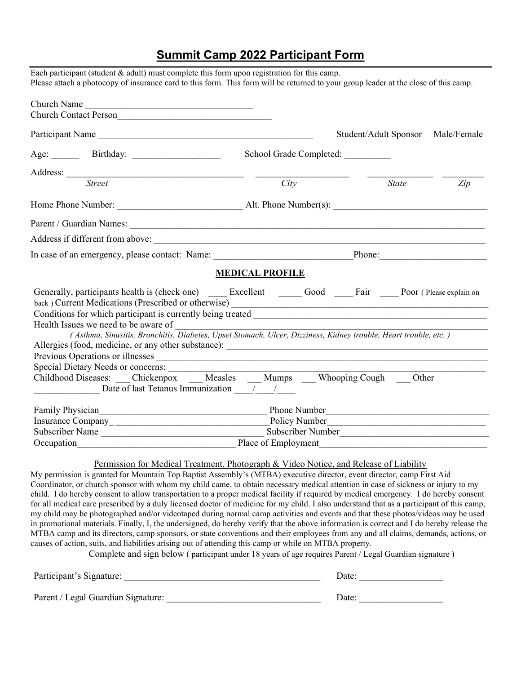#### Summit Camp 2022 Participant Form

| Church Name                                                                                                                                                                                                                                                                                                                                                                                                                                          |                         |                                   |     |
|------------------------------------------------------------------------------------------------------------------------------------------------------------------------------------------------------------------------------------------------------------------------------------------------------------------------------------------------------------------------------------------------------------------------------------------------------|-------------------------|-----------------------------------|-----|
| Church Contact Person                                                                                                                                                                                                                                                                                                                                                                                                                                |                         |                                   |     |
| Participant Name                                                                                                                                                                                                                                                                                                                                                                                                                                     |                         | Student/Adult Sponsor Male/Female |     |
|                                                                                                                                                                                                                                                                                                                                                                                                                                                      | School Grade Completed: |                                   |     |
|                                                                                                                                                                                                                                                                                                                                                                                                                                                      |                         |                                   |     |
| Address: <u>Street</u>                                                                                                                                                                                                                                                                                                                                                                                                                               | City                    | <b>State</b>                      | Zip |
|                                                                                                                                                                                                                                                                                                                                                                                                                                                      |                         |                                   |     |
|                                                                                                                                                                                                                                                                                                                                                                                                                                                      |                         |                                   |     |
|                                                                                                                                                                                                                                                                                                                                                                                                                                                      |                         |                                   |     |
| In case of an emergency, please contact: Name: Phone: Phone: Phone:                                                                                                                                                                                                                                                                                                                                                                                  |                         |                                   |     |
|                                                                                                                                                                                                                                                                                                                                                                                                                                                      |                         |                                   |     |
|                                                                                                                                                                                                                                                                                                                                                                                                                                                      | <b>MEDICAL PROFILE</b>  |                                   |     |
| Generally, participants health is (check one) ______ Excellent _______ Good ______ Fair _____ Poor (Please explain on<br>back) Current Medications (Prescribed or otherwise) _____________________________<br>Health Issues we need to be aware of<br>(Asthma, Sinusitis, Bronchitis, Diabetes, Upset Stomach, Ulcer, Dizziness, Kidney trouble, Heart trouble, etc.)<br>Special Dietary Needs or concerns:<br>Date of last Tetanus Immunization / / |                         |                                   |     |
|                                                                                                                                                                                                                                                                                                                                                                                                                                                      |                         |                                   |     |
|                                                                                                                                                                                                                                                                                                                                                                                                                                                      |                         |                                   |     |
| Subscriber Name<br>Cocupation<br>Cocupation<br>Cocupation<br>Cocupation<br>Cocupation<br>Cocupation<br>Cocupation<br>Cocupation<br>Cocupation<br>Cocupation<br>Cocupation<br>Cocupation<br>Cocupation<br>Cocupation<br>Cocupation<br>Cocupation<br>Cocupation<br>C                                                                                                                                                                                   |                         |                                   |     |

for all medical care prescribed by a duly licensed doctor of medicine for my child. I also understand that as a participant of this camp, my child may be photographed and/or videotaped during normal camp activities and events and that these photos/videos may be used in promotional materials. Finally, I, the undersigned, do hereby verify that the above information is correct and I do hereby release the MTBA camp and its directors, camp sponsors, or state conventions and their employees from any and all claims, demands, actions, or causes of action, suits, and liabilities arising out of attending this camp or while on MTBA property.

Complete and sign below ( participant under 18 years of age requires Parent / Legal Guardian signature )

| Participant's Signature:           | Date: |
|------------------------------------|-------|
| Parent / Legal Guardian Signature: | Date: |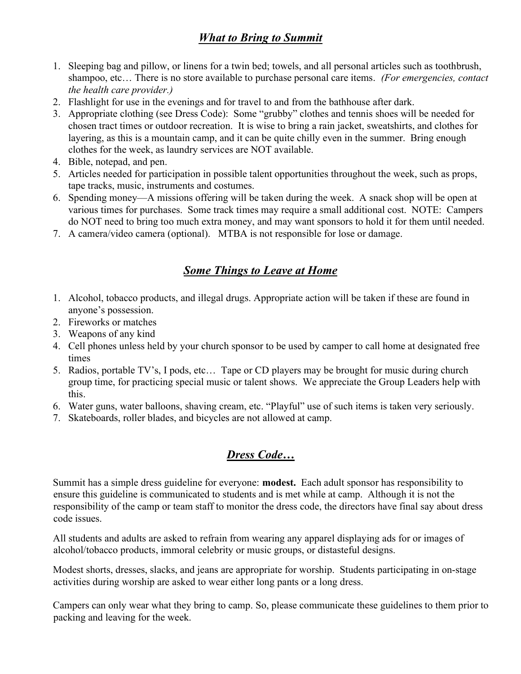#### What to Bring to Summit

- 1. Sleeping bag and pillow, or linens for a twin bed; towels, and all personal articles such as toothbrush, shampoo, etc... There is no store available to purchase personal care items. (For emergencies, contact the health care provider.)
- 2. Flashlight for use in the evenings and for travel to and from the bathhouse after dark.
- 3. Appropriate clothing (see Dress Code): Some "grubby" clothes and tennis shoes will be needed for chosen tract times or outdoor recreation. It is wise to bring a rain jacket, sweatshirts, and clothes for layering, as this is a mountain camp, and it can be quite chilly even in the summer. Bring enough clothes for the week, as laundry services are NOT available.
- 4. Bible, notepad, and pen.
- 5. Articles needed for participation in possible talent opportunities throughout the week, such as props, tape tracks, music, instruments and costumes.
- 6. Spending money—A missions offering will be taken during the week. A snack shop will be open at various times for purchases. Some track times may require a small additional cost. NOTE: Campers do NOT need to bring too much extra money, and may want sponsors to hold it for them until needed.
- 7. A camera/video camera (optional). MTBA is not responsible for lose or damage.

#### Some Things to Leave at Home

- 1. Alcohol, tobacco products, and illegal drugs. Appropriate action will be taken if these are found in anyone's possession.
- 2. Fireworks or matches
- 3. Weapons of any kind
- 4. Cell phones unless held by your church sponsor to be used by camper to call home at designated free times
- 5. Radios, portable TV's, I pods, etc… Tape or CD players may be brought for music during church group time, for practicing special music or talent shows. We appreciate the Group Leaders help with this.
- 6. Water guns, water balloons, shaving cream, etc. "Playful" use of such items is taken very seriously.
- 7. Skateboards, roller blades, and bicycles are not allowed at camp.

#### Dress Code…

Summit has a simple dress guideline for everyone: modest. Each adult sponsor has responsibility to ensure this guideline is communicated to students and is met while at camp. Although it is not the responsibility of the camp or team staff to monitor the dress code, the directors have final say about dress code issues.

All students and adults are asked to refrain from wearing any apparel displaying ads for or images of alcohol/tobacco products, immoral celebrity or music groups, or distasteful designs.

Modest shorts, dresses, slacks, and jeans are appropriate for worship. Students participating in on-stage activities during worship are asked to wear either long pants or a long dress.

Campers can only wear what they bring to camp. So, please communicate these guidelines to them prior to packing and leaving for the week.